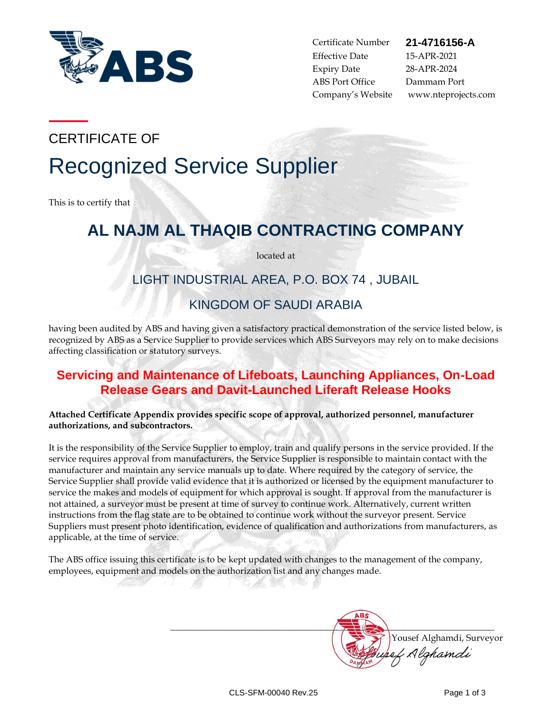

Certificate Number **21-4716156-A** Effective Date 15-APR-2021 Expiry Date 28-APR-2024 ABS Port Office Dammam Port

Company's Website www.nteprojects.com

CERTIFICATE OF

# Recognized Service Supplier

This is to certify that

# **AL NAJM AL THAQIB CONTRACTING COMPANY**

located at

# LIGHT INDUSTRIAL AREA, P.O. BOX 74 , JUBAIL

# KINGDOM OF SAUDI ARABIA

having been audited by ABS and having given a satisfactory practical demonstration of the service listed below, is recognized by ABS as a Service Supplier to provide services which ABS Surveyors may rely on to make decisions affecting classification or statutory surveys.

# **Servicing and Maintenance of Lifeboats, Launching Appliances, On-Load Release Gears and Davit-Launched Liferaft Release Hooks**

**Attached Certificate Appendix provides specific scope of approval, authorized personnel, manufacturer authorizations, and subcontractors.**

It is the responsibility of the Service Supplier to employ, train and qualify persons in the service provided. If the service requires approval from manufacturers, the Service Supplier is responsible to maintain contact with the manufacturer and maintain any service manuals up to date. Where required by the category of service, the Service Supplier shall provide valid evidence that it is authorized or licensed by the equipment manufacturer to service the makes and models of equipment for which approval is sought. If approval from the manufacturer is not attained, a surveyor must be present at time of survey to continue work. Alternatively, current written instructions from the flag state are to be obtained to continue work without the surveyor present. Service Suppliers must present photo identification, evidence of qualification and authorizations from manufacturers, as applicable, at the time of service.

The ABS office issuing this certificate is to be kept updated with changes to the management of the company, employees, equipment and models on the authorization list and any changes made.

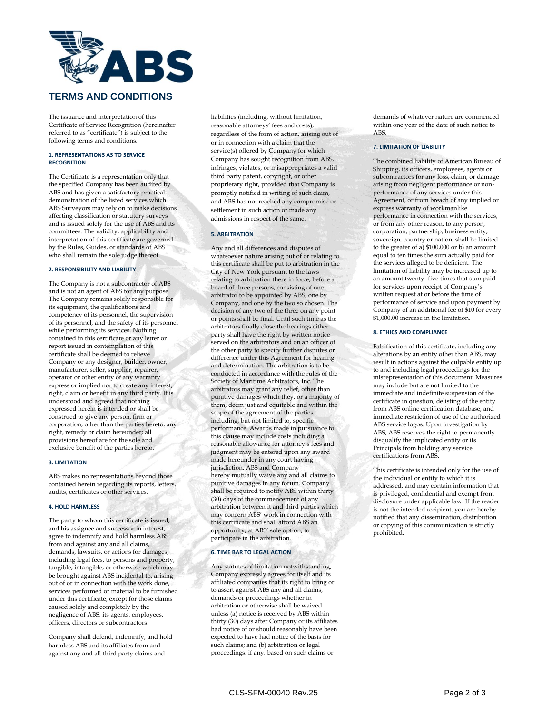

The issuance and interpretation of this Certificate of Service Recognition (hereinafter referred to as "certificate") is subject to the following terms and conditions.

#### **1. REPRESENTATIONS AS TO SERVICE RECOGNITION**

The Certificate is a representation only that the specified Company has been audited by ABS and has given a satisfactory practical demonstration of the listed services which ABS Surveyors may rely on to make decisions affecting classification or statutory surveys and is issued solely for the use of ABS and its committees. The validity, applicability and interpretation of this certificate are governed by the Rules, Guides, or standards of ABS who shall remain the sole judge thereof.

#### **2. RESPONSIBILITY AND LIABILITY**

The Company is not a subcontractor of ABS and is not an agent of ABS for any purpose. The Company remains solely responsible for its equipment, the qualifications and competency of its personnel, the supervision of its personnel, and the safety of its personnel while performing its services. Nothing contained in this certificate or any letter or report issued in contemplation of this certificate shall be deemed to relieve Company or any designer, builder, owner, manufacturer, seller, supplier, repairer, operator or other entity of any warranty express or implied nor to create any interest, right, claim or benefit in any third party. It is understood and agreed that nothing expressed herein is intended or shall be construed to give any person, firm or corporation, other than the parties hereto, any right, remedy or claim hereunder; all provisions hereof are for the sole and exclusive benefit of the parties hereto.

#### **3. LIMITATION**

ABS makes no representations beyond those contained herein regarding its reports, letters, audits, certificates or other services.

#### **4. HOLD HARMLESS**

The party to whom this certificate is issued, and his assignee and successor in interest, agree to indemnify and hold harmless ABS from and against any and all claims, demands, lawsuits, or actions for damages, including legal fees, to persons and property, tangible, intangible, or otherwise which may be brought against ABS incidental to, arising out of or in connection with the work done, services performed or material to be furnished under this certificate, except for those claims caused solely and completely by the negligence of ABS, its agents, employees, officers, directors or subcontractors.

Company shall defend, indemnify, and hold harmless ABS and its affiliates from and against any and all third party claims and

liabilities (including, without limitation, reasonable attorneys' fees and costs), regardless of the form of action, arising out of or in connection with a claim that the service(s) offered by Company for which Company has sought recognition from ABS, infringes, violates, or misappropriates a valid third party patent, copyright, or other proprietary right, provided that Company is promptly notified in writing of such claim, and ABS has not reached any compromise or settlement in such action or made any admissions in respect of the same.

#### **5. ARBITRATION**

Any and all differences and disputes of whatsoever nature arising out of or relating to this certificate shall be put to arbitration in the City of New York pursuant to the laws relating to arbitration there in force, before a board of three persons, consisting of one arbitrator to be appointed by ABS, one by Company, and one by the two so chosen. The decision of any two of the three on any point or points shall be final. Until such time as the arbitrators finally close the hearings either party shall have the right by written notice served on the arbitrators and on an officer of the other party to specify further disputes or difference under this Agreement for hearing and determination. The arbitration is to be conducted in accordance with the rules of the Society of Maritime Arbitrators, Inc. The arbitrators may grant any relief, other than punitive damages which they, or a majority of them, deem just and equitable and within the scope of the agreement of the parties, including, but not limited to, specific performance. Awards made in pursuance to this clause may include costs including a reasonable allowance for attorney's fees and judgment may be entered upon any award made hereunder in any court having jurisdiction. ABS and Company hereby mutually waive any and all claims to punitive damages in any forum. Company shall be required to notify ABS within thirty (30) days of the commencement of any arbitration between it and third parties which may concern ABS' work in connection with this certificate and shall afford ABS an opportunity, at ABS' sole option, to participate in the arbitration.

#### **6. TIME BAR TO LEGAL ACTION**

Any statutes of limitation notwithstanding, Company expressly agrees for itself and its affiliated companies that its right to bring or to assert against ABS any and all claims, demands or proceedings whether in arbitration or otherwise shall be waived unless (a) notice is received by ABS within thirty (30) days after Company or its affiliates had notice of or should reasonably have been expected to have had notice of the basis for such claims; and (b) arbitration or legal proceedings, if any, based on such claims or

demands of whatever nature are commenced within one year of the date of such notice to ABS.

#### **7. LIMITATION OF LIABILITY**

The combined liability of American Bureau of Shipping, its officers, employees, agents or subcontractors for any loss, claim, or damage arising from negligent performance or nonperformance of any services under this Agreement, or from breach of any implied or express warranty of workmanlike performance in connection with the services, or from any other reason, to any person, corporation, partnership, business entity, sovereign, country or nation, shall be limited to the greater of a) \$100,000 or b) an amount equal to ten times the sum actually paid for the services alleged to be deficient. The limitation of liability may be increased up to an amount twenty- five times that sum paid for services upon receipt of Company's written request at or before the time of performance of service and upon payment by Company of an additional fee of \$10 for every \$1,000.00 increase in the limitation.

#### **8. ETHICS AND COMPLIANCE**

Falsification of this certificate, including any alterations by an entity other than ABS, may result in actions against the culpable entity up to and including legal proceedings for the misrepresentation of this document. Measures may include but are not limited to the immediate and indefinite suspension of the certificate in question, delisting of the entity from ABS online certification database, and immediate restriction of use of the authorized ABS service logos. Upon investigation by ABS, ABS reserves the right to permanently disqualify the implicated entity or its Principals from holding any service certifications from ABS.

This certificate is intended only for the use of the individual or entity to which it is addressed, and may contain information that is privileged, confidential and exempt from disclosure under applicable law. If the reader is not the intended recipient, you are hereby notified that any dissemination, distribution or copying of this communication is strictly prohibited.